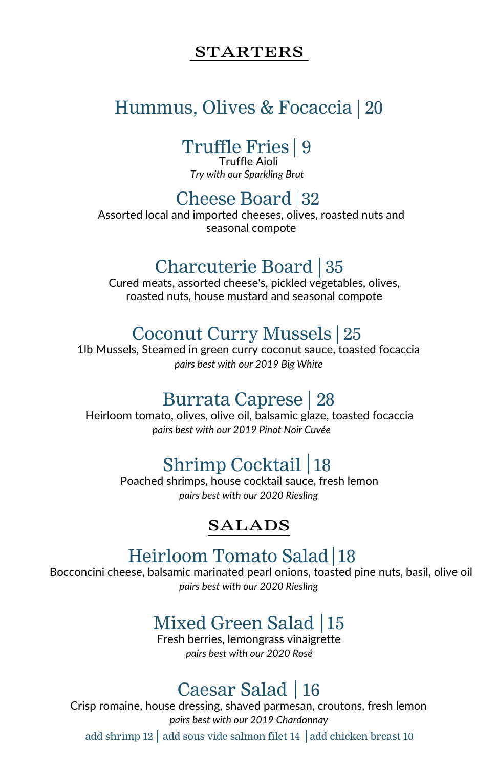#### STARTERS

# Hummus, Olives & Focaccia 20

## Truffle Fries | 9

Truffle Aioli *Try with our Sparkling Brut*

### Cheese Board  $|32$

Assorted local and imported cheeses, olives, roasted nuts and seasonal compote

### Charcuterie Board | 35

Cured meats, assorted cheese's, pickled vegetables, olives, roasted nuts, house mustard and seasonal compote

### Coconut Curry Mussels 25

1lb Mussels, Steamed in green curry coconut sauce, toasted focaccia *pairs best with our 2019 Big White*

#### Burrata Caprese | 28

Heirloom tomato, olives, olive oil, balsamic glaze, toasted focaccia *pairs best with our 2019 Pinot Noir Cuvée*

# Shrimp Cocktail 18

Poached shrimps, house cocktail sauce, fresh lemon *pairs best with our 2020 Riesling*

#### SALADS

## Heirloom Tomato Salad 18

Bocconcini cheese, balsamic marinated pearl onions, toasted pine nuts, basil, olive oil *pairs best with our 2020 Riesling*

# Mixed Green Salad 15

Fresh berries, lemongrass vinaigrette *pairs best with our 2020 Rosé*

## Caesar Salad 16

Crisp romaine, house dressing, shaved parmesan, croutons, fresh lemon *pairs best with our 2019 Chardonnay*

add shrimp 12  $\vert$  add sous vide salmon filet 14  $\vert$  add chicken breast 10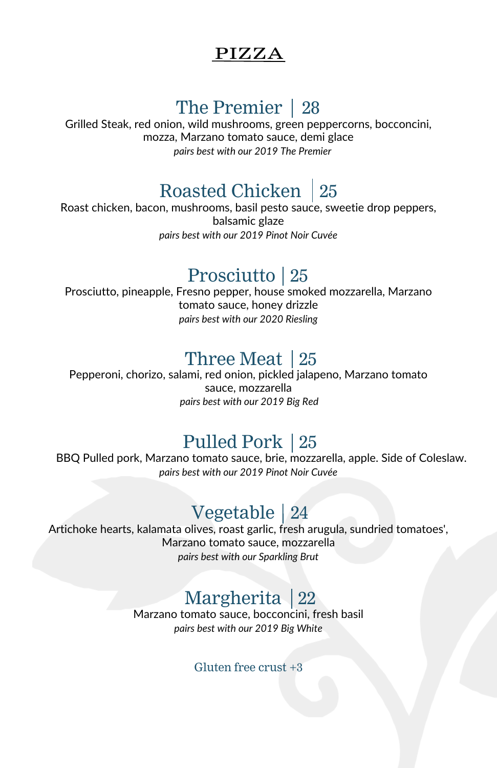#### PIZZA

# The Premier 28

Grilled Steak, red onion, wild mushrooms, green peppercorns, bocconcini, mozza, Marzano tomato sauce, demi glace *pairs best with our 2019 The Premier*

# Roasted Chicken 25

Roast chicken, bacon, mushrooms, basil pesto sauce, sweetie drop peppers, balsamic glaze *pairs best with our 2019 Pinot Noir Cuvée*

## Prosciutto 25

Prosciutto, pineapple, Fresno pepper, house smoked mozzarella, Marzano tomato sauce, honey drizzle *pairs best with our 2020 Riesling*

# Three Meat 25

Pepperoni, chorizo, salami, red onion, pickled jalapeno, Marzano tomato sauce, mozzarella *pairs best with our 2019 Big Red*

## Pulled Pork 25

BBQ Pulled pork, Marzano tomato sauce, brie, mozzarella, apple. Side of Coleslaw. *pairs best with our 2019 Pinot Noir Cuvée*

# Vegetable 24

Artichoke hearts, kalamata olives, roast garlic, fresh arugula, sundried tomatoes', Marzano tomato sauce, mozzarella *pairs best with our Sparkling Brut*

# Margherita 22

Marzano tomato sauce, bocconcini, fresh basil *pairs best with our 2019 Big White*

Gluten free crust +3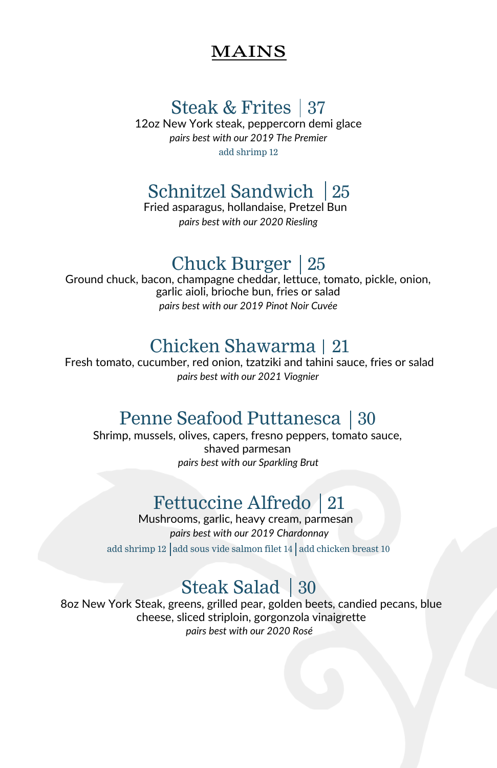#### MAINS

# Steak & Frites 37

12oz New York steak, peppercorn demi glace *pairs best with our 2019 The Premier* add shrimp 12

# Schnitzel Sandwich 25

Fried asparagus, hollandaise, Pretzel Bun *pairs best with our 2020 Riesling*

## Chuck Burger 25

Ground chuck, bacon, champagne cheddar, lettuce, tomato, pickle, onion, garlic aioli, brioche bun, fries or salad *pairs best with our 2019 Pinot Noir Cuvée*

## Chicken Shawarma 21

Fresh tomato, cucumber, red onion, tzatziki and tahini sauce, fries or salad *pairs best with our 2021 Viognier*

## Penne Seafood Puttanesca 30

Shrimp, mussels, olives, capers, fresno peppers, tomato sauce, shaved parmesan *pairs best with our Sparkling Brut*

# Fettuccine Alfredo 21

Mushrooms, garlic, heavy cream, parmesan add shrimp 12 add sous vide salmon filet 14 add chicken breast 10 *pairs best with our 2019 Chardonnay*

# Steak Salad 30

8oz New York Steak, greens, grilled pear, golden beets, candied pecans, blue cheese, sliced striploin, gorgonzola vinaigrette *pairs best with our 2020 Rosé*